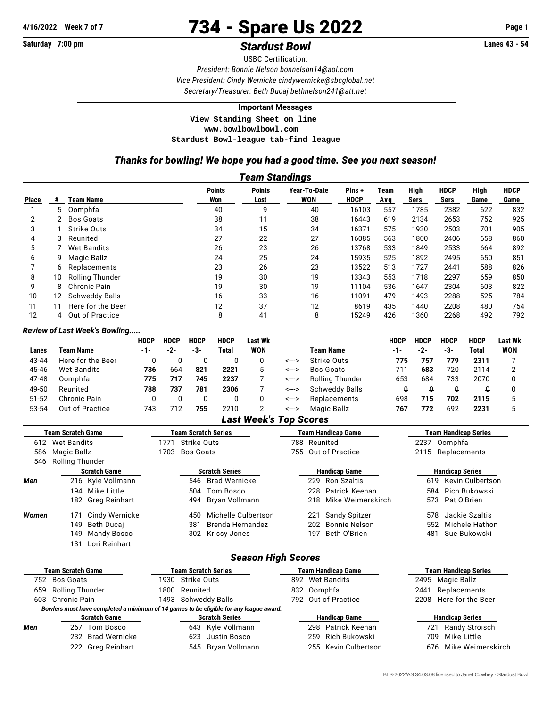# **4/16/2022 Week 7 of 7** 734 - Spare Us 2022 **Page 1**

# Saturday 7:00 pm **Stardust Bowl Stardust Bowl Constant Account Stardust Bowl Lanes 43 - 54**

USBC Certification: *President: Bonnie Nelson [bonnelson14@aol.com](mailto:bonnelson14@aol.com) Vice President: Cindy Wernicke [cindywernicke@sbcglobal.net](mailto:cindywernicke@sbcglobal.net) Secretary/Treasurer: Beth Ducaj [bethnelson241@att.net](mailto:bethnelson241@att.net)*

#### **Important Messages**

 **View Standing Sheet on line <www.bowlbowlbowl.com> Stardust Bowl-league tab-find league**

### *Thanks for bowling! We hope you had a good time. See you next season!*

|              | <b>Team Standings</b> |                        |                      |                       |                            |                      |             |              |                     |              |                     |
|--------------|-----------------------|------------------------|----------------------|-----------------------|----------------------------|----------------------|-------------|--------------|---------------------|--------------|---------------------|
| <b>Place</b> |                       | <b>Team Name</b>       | <b>Points</b><br>Won | <b>Points</b><br>Lost | Year-To-Date<br><b>WON</b> | Pins+<br><b>HDCP</b> | Team<br>Avg | High<br>Sers | <b>HDCP</b><br>Sers | High<br>Game | <b>HDCP</b><br>Game |
|              | 5.                    | Oomphfa                | 40                   | 9                     | 40                         | 16103                | 557         | 1785         | 2382                | 622          | 832                 |
| 2            | 2                     | Bos Goats              | 38                   | 11                    | 38                         | 16443                | 619         | 2134         | 2653                | 752          | 925                 |
| 3            |                       | Strike Outs            | 34                   | 15                    | 34                         | 16371                | 575         | 1930         | 2503                | 701          | 905                 |
| 4            | 3                     | Reunited               | 27                   | 22                    | 27                         | 16085                | 563         | 1800         | 2406                | 658          | 860                 |
| 5            |                       | Wet Bandits            | 26                   | 23                    | 26                         | 13768                | 533         | 1849         | 2533                | 664          | 892                 |
| 6            | 9                     | Magic Ballz            | 24                   | 25                    | 24                         | 15935                | 525         | 1892         | 2495                | 650          | 851                 |
|              | 6                     | Replacements           | 23                   | 26                    | 23                         | 13522                | 513         | 1727         | 2441                | 588          | 826                 |
| 8            | 10                    | <b>Rolling Thunder</b> | 19                   | 30                    | 19                         | 13343                | 553         | 1718         | 2297                | 659          | 850                 |
| 9            | 8                     | Chronic Pain           | 19                   | 30                    | 19                         | 11104                | 536         | 1647         | 2304                | 603          | 822                 |
| 10           | 12.                   | <b>Schweddy Balls</b>  | 16                   | 33                    | 16                         | 11091                | 479         | 1493         | 2288                | 525          | 784                 |
| 11           | 11                    | Here for the Beer      | 12                   | 37                    | 12                         | 8619                 | 435         | 1440         | 2208                | 480          | 754                 |
| 12           | 4                     | Out of Practice        | 8                    | 41                    | 8                          | 15249                | 426         | 1360         | 2268                | 492          | 792                 |

#### *Review of Last Week's Bowling.....*

|           |                   | <b>HDCP</b> | <b>HDCP</b> | <b>HDCP</b> | <b>HDCP</b> | Last Wk |       |                       | <b>HDCP</b> | <b>HDCP</b> | <b>HDCP</b> | <b>HDCP</b> | <b>Last Wk</b> |
|-----------|-------------------|-------------|-------------|-------------|-------------|---------|-------|-----------------------|-------------|-------------|-------------|-------------|----------------|
| Lanes     | Team Name         | -1-         | $-2-$       | -3-         | Total       | WON     |       | <b>Team Name</b>      | $-1-$       | -2-         | -3-         | Total       | WON            |
| 43-44     | Here for the Beer |             |             | Û           |             |         | <---> | Strike Outs           | 775         | 757         | 779         | 2311        |                |
| 45-46     | Wet Bandits       | 736         | 664         | 821         | 2221        |         | <---> | Bos Goats             | 711         | 683         | 720         | 2114        |                |
| 47-48     | Oomphfa           | 775         | 717         | 745         | 2237        |         | <---> | Rolling Thunder       | 653         | 684         | 733         | 2070        |                |
| 49-50     | Reunited          | 788         | 737         | 781         | 2306        |         | <---> | <b>Schweddy Balls</b> |             |             |             |             |                |
| $51 - 52$ | Chronic Pain      |             |             | $\theta$    |             |         | <---> | Replacements          | 698         | 715         | 702         | 2115        |                |
| 53-54     | Out of Practice   | 743         | 712         | 755         | 2210        |         | <---> | Magic Ballz           | 767         | 772         | 692         | 2231        |                |

## *Last Week's Top Scores*

|                           | Team Scratch Game     | <b>Team Scratch Series</b>                                                             | <b>Team Handicap Game</b>   | <b>Team Handicap Series</b> |  |  |  |
|---------------------------|-----------------------|----------------------------------------------------------------------------------------|-----------------------------|-----------------------------|--|--|--|
| <b>Wet Bandits</b><br>612 |                       | Strike Outs<br>1771                                                                    | Reunited<br>788             | Oomphfa<br>2237             |  |  |  |
| 586                       | Magic Ballz           | 1703<br><b>Bos Goats</b>                                                               | Out of Practice<br>755      | 2115<br>Replacements        |  |  |  |
| 546                       | Rolling Thunder       |                                                                                        |                             |                             |  |  |  |
|                           | <b>Scratch Game</b>   | <b>Scratch Series</b>                                                                  | <b>Handicap Game</b>        | <b>Handicap Series</b>      |  |  |  |
| Men                       | 216 Kyle Vollmann     | <b>Brad Wernicke</b><br>546                                                            | <b>Ron Szaltis</b><br>229   | Kevin Culbertson<br>619     |  |  |  |
| 194 Mike Little           |                       | Tom Bosco<br>504                                                                       | Patrick Keenan<br>228       | Rich Bukowski<br>584        |  |  |  |
|                           | 182 Greg Reinhart     | Bryan Vollmann<br>494                                                                  | Mike Weimerskirch<br>218    | Pat O'Brien<br>573          |  |  |  |
| Women                     | Cindy Wernicke<br>171 | Michelle Culbertson<br>450                                                             | Sandy Spitzer<br>221        | Jackie Szaltis<br>578       |  |  |  |
|                           | 149<br>Beth Ducaj     | Brenda Hernandez<br>381                                                                | <b>Bonnie Nelson</b><br>202 | Michele Hathon<br>552       |  |  |  |
|                           | 149<br>Mandy Bosco    | 302<br>Krissy Jones                                                                    | Beth O'Brien<br>197         | Sue Bukowski<br>481         |  |  |  |
|                           | Lori Reinhart<br>131  |                                                                                        |                             |                             |  |  |  |
|                           |                       |                                                                                        | <b>Season High Scores</b>   |                             |  |  |  |
| <b>Team Scratch Game</b>  |                       | <b>Team Scratch Series</b>                                                             | <b>Team Handicap Game</b>   | <b>Team Handicap Series</b> |  |  |  |
| 752                       | <b>Bos Goats</b>      | Strike Outs<br>1930                                                                    | <b>Wet Bandits</b><br>892   | 2495<br>Magic Ballz         |  |  |  |
| 659                       | Rolling Thunder       | 1800<br>Reunited                                                                       | Oomphfa<br>832              | Replacements<br>2441        |  |  |  |
| 603                       | Chronic Pain          | 1493<br><b>Schweddy Balls</b>                                                          | Out of Practice<br>792      | Here for the Beer<br>2208   |  |  |  |
|                           |                       | Bowlers must have completed a minimum of 14 games to be eligible for any league award. |                             |                             |  |  |  |
|                           | <b>Scratch Game</b>   | <b>Scratch Series</b>                                                                  | <b>Handicap Game</b>        | <b>Handicap Series</b>      |  |  |  |
| Men                       | Tom Bosco<br>267      | 643<br>Kyle Vollmann                                                                   | Patrick Keenan<br>298       | 721<br>Randy Stroisch       |  |  |  |
|                           | 232 Brad Wernicke     | Justin Bosco<br>623                                                                    | Rich Bukowski<br>259        | Mike Little<br>709          |  |  |  |